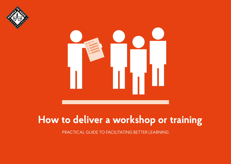



# **How to deliver a workshop or training**

PRACTICAL GUIDE TO FACILITATING BETTER LEARNING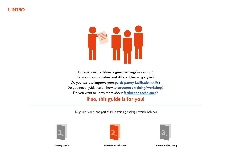

Do you want to **deliver a great training/workshop**? Do you want to **understand different learning styles**? Do you want to **improve your [participatory facilitation skills](#page-3-0)**? Do you need guidance on how to **[structure a training/workshop](#page-5-0)**? Do you want to know more about **[facilitation techniques](#page-9-0)**?

# **If so, this guide is for you!**

This guide is only one part of PIN's training package, which includes:





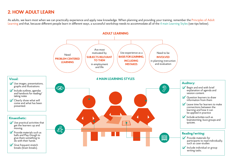# **2. HOW ADULT LEARN**

As adults, we learn most when we can practically experience and apply new knowledge. When planning and providing your training, remember the Principles of Adult Learning and that, because different people learn in different ways, a successful workshop needs to accommodate all of the 4 main Learning Styles (see tips below).

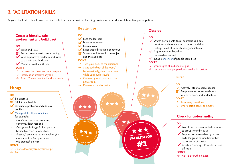# <span id="page-3-0"></span>**3. FACILITATION SKILLS**

A good facilitator should use specific skills to create a positive learning environment and stimulate active participation.



#### **DO**

- $\triangleright$  Smile and relax
- $\blacktriangleright$  Respect every participant's feelings
- $\blacktriangleright$  Give supportive feedback and listen to participants feedback
- $\blacktriangleright$  Model a positive attitude

#### **DON'T**

- $\rightarrow$  Judge or be disrespectful to anyone
- $\rightarrow$  Interrupt or pressure anyone
- $\rightarrow$  Panic. You've practiced and are ready

### **Manage**

#### **DO**

- $\triangleright$  Be assertive
- $\blacktriangleright$  Stick to a schedule
- $\blacktriangleright$  Anticipate problems and address conflicts
- $\blacktriangleright$  [Manage difficult personalities,](https://elo.pinf.cz/ig2-CZE/pages/startup.jsp?guid=(4D60D560-E646-4F87-AE6F-D9EFF7B5801F)) for example:
- *• Dominant*  Respond concisely, continue, don't respond
- *• Disruptive Talking* Talk to person beside him/her. Pause/ stop.
- *• Passive/Low enthusiasm* Involve, give more attention  $\delta$  appreciation, use practical exercises

#### **DON'T**

 $\rightarrow$  Be afraid to stray from your script

 $\rightarrow$  Rush

# **Be attentive Observe**

#### **DO**

- $\triangleright$  Face the learners
- $\blacksquare$  Make eye-contact
- $\blacktriangleright$  Move closer
- $\blacktriangleright$  Discourage distracting behaviour
- $\blacktriangleright$  Show your interest in the subject and the audience

#### **DON'T**

- $\rightarrow$  Turn your back to the audience
- $\rightarrow$  Stand at the back of the room/ between the light and the screen while using audio visuals
- $\rightarrow$  Constantly read from a script/ powerpoint

\*\*\*

 $\rightarrow$  Dominate the discussion

### **DO**

**FACILITATOR**

**#1**

- $\blacktriangleright$  Watch participants' facial expressions, body positions and movements to understand their feelings, level of understanding and interest
- $\blacktriangleright$  Adiust activities based on the needs observed
- $\blacktriangleright$  Include [energisers](#page-10-0) if people seem tired **DON'T**
- $\rightarrow$  Ignore signs of audience fatigue
- $\rightarrow$  Let one or some people dominate the discussion

### **Listen**

### **DO**

- $\blacktriangleright$  Actively listen to each speaker
- $\blacktriangleright$  Paraphrase responses to show that you have heard and understood
- **DON'T**
- $\rightarrow$  Turn away questions
- $\rightarrow$  Ignore participants' comments

# **Check for understanding**

### **DO**

- $\blacktriangleright$  Ask closed or open-ended questions to groups or individuals
- $\blacktriangleright$  Respond to answers directly or pass on to the group to stimulate further responses or discussion
- $\blacktriangleright$  Create a "parking lot" for deviations off topic

**DON'T**

 $\rightarrow$  Ask 'is everything clear?'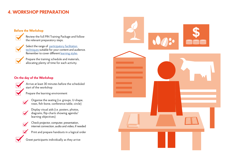# **4. WORKSHOP PREPARATION**

### **Before the Workshop**

Review the full PIN Training Package and follow the relevant preparatory steps.



Select the range of participatory facilitation [techniques s](#page-9-0)uitable for your content and audience. Remember to cover different learning styles.

Prepare the training schedule and materials, allocating plenty of time for each activity.

### **On the day of the Workshop**

M

Arrive at least 30 minutes before the scheduled start of the workshop

Prepare the learning environment



- Display visual aids (i.e. posters, photos,  $\blacktriangledown$ diagrams, flip-charts showing agenda/ learning objectives)
- Check projector, computer, presentation,  $\overline{\blacktriangledown}$ internet connection, audio and video, if needed



Print and prepare handouts in a logical order

Greet participants individually as they arrive

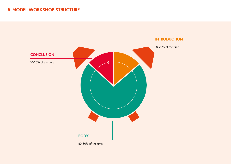# <span id="page-5-0"></span>**5. MODEL WORKSHOP STRUCTURE**

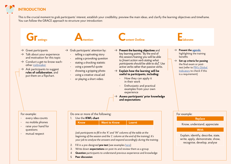# **INTRODUCTION**

This is the crucial moment to grab participants' interest, establish your credibility, preview the main ideas, and clarify the learning objectives and timeframe. You can follow the GRACE approach to structure your introduction:

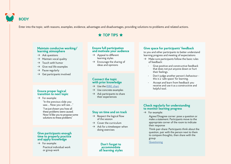# **BODY**

Enter into the topic, with reasons, examples, evidence, advantages and disadvantages, providing solutions to problems and related actions.

# **★ TOP TIPS ★**

#### **Maintain conducive working/ learning atmosphere**

- $\rightarrow$  Ask questions
- $\rightarrow$  Maintain vocal quality
- $\rightarrow$  Touch with humor
- $\rightarrow$  Give real life examples
- $\rightarrow$  Pause regularly
- $\rightarrow$  Get participants involved

#### **Ensure proper logical transition to next topic**

 $\rightarrow$  For example:

"In the previous slide you saw.... Now you will see...."

"I've just shown you how all these problems were caused. Now I'd like you to propose some solutions to these problems"

#### **Give participants enough time to properly practice and apply knowledge**

 $\rightarrow$  For example: Practical individual work or group work

#### **Ensure full participation and motivate your audience**

- $\rightarrow$  Appeal to different learning styles
- $\rightarrow$  Encourage the sharing of ideas and opinions

#### **Connect the topic with prior knowledge**

- $\rightarrow$  Use the KWL chart
- $\rightarrow$  Use concrete examples
- $\rightarrow$  Ask participants to share their experiences

**Stay on time and on track**  $\rightarrow$  Respect the logical flow of the session  $\rightarrow$  Cover the curriculum  $\rightarrow$  Ask for a timekeeper when doing exercises

#### **Give space for participants' feedback**

to you and other participants to better understand learning progress and meeting of expectations

- $\rightarrow$  Make sure participants follow the basic rules of feedback:
	- Give positive and constructive feedback that does not put anyone down or hurt their feelings.
	- Don't judge another person's behaviour this is a 'safe space' for learning.
	- Accept and learn from feedback you receive and use it as a constructive and helpful tool.

#### **Check regularly for understanding to monitor learning progress**

 $\rightarrow$  For example:

Agree/Disagree corner: pose a question or make a statement. Participants move to the appropriate corner of the room to indicate their response

Think-pair-share: Participants think about the question, pair with the person next to them to compare thoughts, then share with the group

**[Questioning](#page-10-2)** 

**Don't forget to accommodate all learning styles**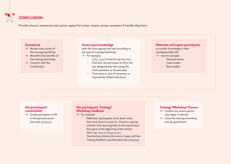

Provide closure, summarise main points, appeal for action, inspire, answer questions & handle objections

#### **Summarize**

- $\rightarrow$  Review main points of the training/workshop
- $\rightarrow$  Reconfirm the benefits of the training/workshop
- $\rightarrow$  Connect with the introduction

#### **Assess post knowledge**

with the most appropriate tool according to the type of training/workshop

- $\rightarrow$  For example:
	- KWL chart if used during the intro
	- Post-test: ask participant to fill in the pre-designed post test (using the same questions as the pre-test)
	- Final exam or quiz (if necessary or required by Global indicators)

#### **Motivate and inspire participants**

to transfer knowledge in their workplace/daily life

- $\rightarrow$  Use for example:
	- Personal stories
	- Case studies
	- Role models

#### **Get participants' commitment**

 $\rightarrow$  Guide participants to fill in the personal action plan (see [template](https://elo.pinf.cz/ig2-CZE/pages/startup.jsp?guid=(3E87F264-8354-4BD4-D256-2695DB885577)))

#### **Get participants' Training/ Workshop feedback**

- $\rightarrow$  For example
	- Reflection: participants write down what they have learnt on post-its. Check as a group whether their learning links to the expectations they gave at the beginning of the session.
	- Quiz: e.g. <https://kahoot.com/>
	- Questioning, plenary discussion, happy sad face
	- Training feedback questionnaire (see [template\)](https://elo.pinf.cz/ig2-CZE/pages/startup.jsp?guid=(DEDCCF1C-8E5E-1278-0CD2-0CFEF2EF2008))

#### **Training/Workshop Closure**

- $\rightarrow$  Confirm any action points/ next steps, if relevant
- $\rightarrow$  Close the training/workshop and say goaod-bye!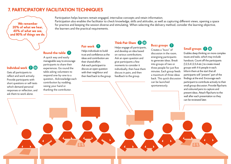# <span id="page-9-0"></span>**7. PARTICIPATORY FACILITATION TECHNIQUES**

**We remember 20% of what we hear, 40% of what we see, and 80% of things we do.**

#### Participation helps learners remain engaged, internalise concepts and retain information.

Participation also enables the facilitator to check knowledge, skills and attitudes, as well as capturing different views, opening a space for practice and keeping the session diverse and stimulating. When selecting the delivery method, consider the learning objective, the learners and the practical requirements.

# **Pair work**

# **Individual work**

Gets all participants to reflect and work actively. Provide participants with short questions or self-tests which demand personal responses or reflection, and ask them to work alone.

A quick way and easily manageable way to encourage participants to share their experiences. Go round the table asking volunteers to respond one-by-one to a question,. Acknowledge each contribution by nodding, raising your hand or thanking the contributor.

**Round-the-table**

Helps individuals to build trust and confidence as the ideas and contribution are their shared effort. Ask each participant to discuss an open question with their neighbour and then feed back to the group.

Helps engage all participants, and develop an idea based on various contributions. Ask an open question and give participants a few moments to consider it individually, then have them discuss in pairs, and then feedback to the group.

**Think-Pair-Share**

# **Buzz groups**

Creates a "buzz" of discussion in the room, energising participants to generate ideas. Break into groups of two or three people for just five minutes. Each group feeds a maximum of three ideas back. This quick discussion can be launched spontaneously.

# **Small groups <b>B**

Enables deep thinking on more complex issues and tasks, which may include handouts. Count off the participants (1,2,3,4,1,2,3,4 etc.) to create mixed groups with 4-6 people in each. Inform them at the start that all participants will "present" part of the findings at the end. Encourage each participant to contribute actively to their small group discussion. Provide flipcharts and coloured pens to capture and present ideas. Attach flipcharts to the wall after each presentation so they can be reviewed later.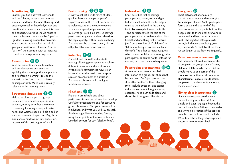# <span id="page-10-2"></span>**Questioning**

Enables you find out what learners do and don't know, to keep their interest, stimulate and focus learners' thinking, and encourage recall of knowledge. Ask one question at a time and make sure it is clear and concise. Questions should relate to the main learning points and be "open" or "guided", allowing descriptive answers. Ask a specific individual or the whole group and wait for a volunteer. You can "pass on" the question, with participants to adding to the previous response.

# **Case studies**

Give participants a chance to analyse and problem-solve on a scenario, applying theory to hypothetical practice and reinforcing learning. Provide the scenario in the form of a narrative or an image or both. Make sure it is really relevant to the learning points.

# **Structured discussions** 2

Help to explore a topic as a group. Formulate the discussion questions in advance, making sure they are relevant to learning. Encourage people to raise hands and wait to speak, or hold a ball or stick to show who is speaking. Regularly summarise and draw out key discussion. Intervene if discussion goes off track.

# **Brainstorming <b>B B**

A way to collect a wide range of ideas quickly. To overcome participants' shyness, reassure them that every answer is welcome, and that creativity occurs when we suspend judgement and let ourselves go. Set a time limit. Encourage participants to give you ideas related to the topic quickly, without over-analysing. Appoint a scribe to record every idea on a flipchart that everyone can see.

**Role-Play** 2 A useful tool for skills and attitude training, allowing participants to explore different behaviour and emotions in a given set of circumstances. Give clear instructions to the participants to play a role in an enactment of a situation. Appoint an observer, who will give feedback afterwards.

# **Flipcharts 9**

Flipcharts are reliable and allow participants to see the information develop. Useful for presentations and for capturing group discussions. Plan your presentation in advance, and what you will say on each flipchart page. Write in outline format, using bullet points, not whole sentences. Use dark colours for text (black or blue).

# <span id="page-10-1"></span>**Icebreakers**

Short activities that encourage participants to move, relax and get to know each other. It can be helpful to make them related to the training topic. **For example:** Guess the truth - one participant tells the rest of the participants two true things about him/ herself and one thing that is not true (i.e. "I am the oldest of 10 children" or "I dream of being a professional ballet dancer"). The other participants guess which is untrue. Take turns amongst the participants. Be careful not to let these run too long or to use them too frequently.

### **Powerpoint presentations <b>P**

A great way to present detailed information to a group, but should not be overused. Don't just present one slide after another without changing style. Include questions and stories to illustrate content. Integrate group exercises. Keep each slide clean and short. Avoid long text. Use visuals.

# <span id="page-10-0"></span>**Energisers**

Short activities that encourage participants to move and re-energise. **For example:** Human Knot - participants form a circle and take hold of the hands of other participants, but not the people next to them, until everyone is connected and has formed a "human knot". The objective of the game is to untangle the knot without letting go of anyone's hands. Be careful not to let these run too long or to use them too frequently.

# **What we have in common**  $\mathbb{R}$

The facilitator calls out a characteristic of people in the group, such as 'having children'. All those who have children should move to one corner of the room. As the facilitator calls out more characteristics, such as 'likes football', people with the characteristic move to the indicated space.

# **Giving clear instructions**

Unclear instructions are the main reason training activities fail. Use simple and clear language. Repeat the instructions at least 3 times. Give verbal and written instructions if the topic is complex. Instructions should include: What to do; how long; why; expected outputs/ how to report back.